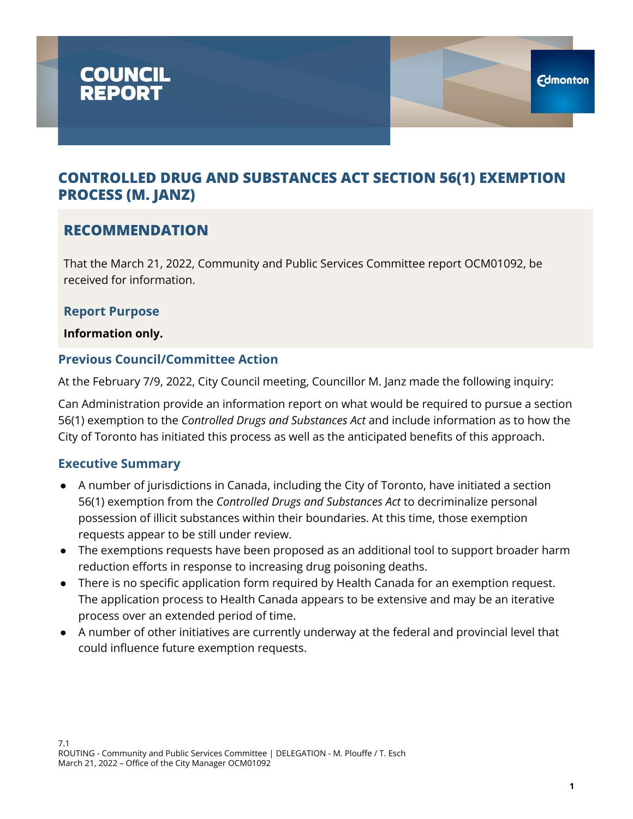

### **RECOMMENDATION**

That the March 21, 2022, Community and Public Services Committee report OCM01092, be received for information.

#### **Report Purpose**

**Information only.**

### **Previous Council/Committee Action**

At the February 7/9, 2022, City Council meeting, Councillor M. Janz made the following inquiry:

Can Administration provide an information report on what would be required to pursue a section 56(1) exemption to the *Controlled Drugs and Substances Act* and include information as to how the City of Toronto has initiated this process as well as the anticipated benefits of this approach.

#### **Executive Summary**

- A number of jurisdictions in Canada, including the City of Toronto, have initiated a section 56(1) exemption from the *Controlled Drugs and Substances Act* to decriminalize personal possession of illicit substances within their boundaries. At this time, those exemption requests appear to be still under review.
- The exemptions requests have been proposed as an additional tool to support broader harm reduction efforts in response to increasing drug poisoning deaths.
- There is no specific application form required by Health Canada for an exemption request. The application process to Health Canada appears to be extensive and may be an iterative process over an extended period of time.
- A number of other initiatives are currently underway at the federal and provincial level that could influence future exemption requests.

**Edmonton**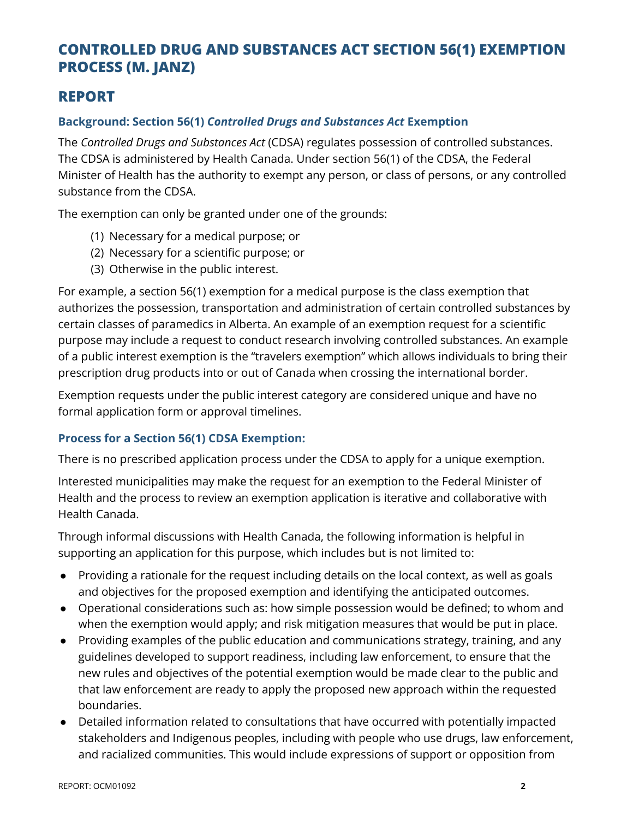### **REPORT**

### **Background: Section 56(1)** *Controlled Drugs and Substances Act* **Exemption**

The *Controlled Drugs and Substances Act* (CDSA) regulates possession of controlled substances. The CDSA is administered by Health Canada. Under section 56(1) of the CDSA, the Federal Minister of Health has the authority to exempt any person, or class of persons, or any controlled substance from the CDSA.

The exemption can only be granted under one of the grounds:

- (1) Necessary for a medical purpose; or
- (2) Necessary for a scientific purpose; or
- (3) Otherwise in the public interest.

For example, a section 56(1) exemption for a medical purpose is the class exemption that authorizes the possession, transportation and administration of certain controlled substances by certain classes of paramedics in Alberta. An example of an exemption request for a scientific purpose may include a request to conduct research involving controlled substances. An example of a public interest exemption is the "travelers exemption" which allows individuals to bring their prescription drug products into or out of Canada when crossing the international border.

Exemption requests under the public interest category are considered unique and have no formal application form or approval timelines.

#### **Process for a Section 56(1) CDSA Exemption:**

There is no prescribed application process under the CDSA to apply for a unique exemption.

Interested municipalities may make the request for an exemption to the Federal Minister of Health and the process to review an exemption application is iterative and collaborative with Health Canada.

Through informal discussions with Health Canada, the following information is helpful in supporting an application for this purpose, which includes but is not limited to:

- Providing a rationale for the request including details on the local context, as well as goals and objectives for the proposed exemption and identifying the anticipated outcomes.
- Operational considerations such as: how simple possession would be defined; to whom and when the exemption would apply; and risk mitigation measures that would be put in place.
- Providing examples of the public education and communications strategy, training, and any guidelines developed to support readiness, including law enforcement, to ensure that the new rules and objectives of the potential exemption would be made clear to the public and that law enforcement are ready to apply the proposed new approach within the requested boundaries.
- Detailed information related to consultations that have occurred with potentially impacted stakeholders and Indigenous peoples, including with people who use drugs, law enforcement, and racialized communities. This would include expressions of support or opposition from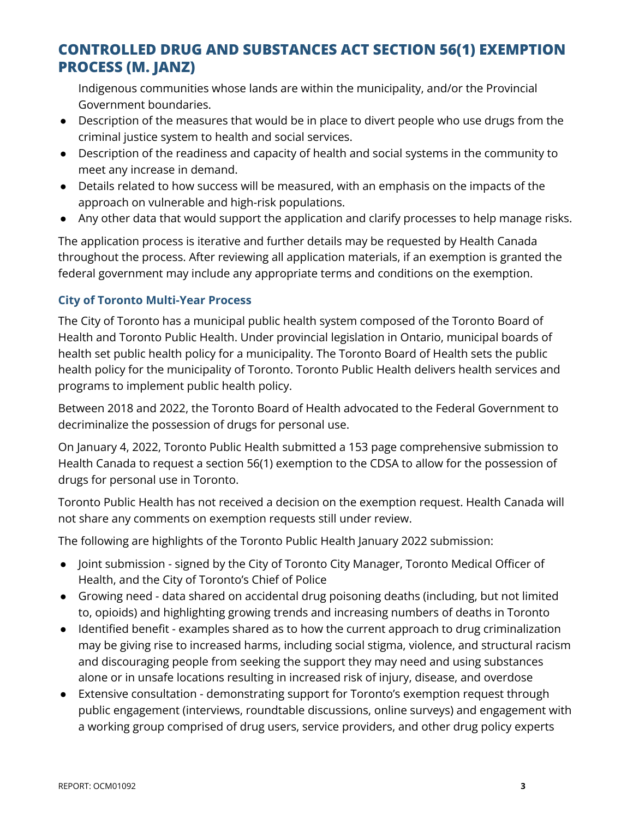Indigenous communities whose lands are within the municipality, and/or the Provincial Government boundaries.

- Description of the measures that would be in place to divert people who use drugs from the criminal justice system to health and social services.
- Description of the readiness and capacity of health and social systems in the community to meet any increase in demand.
- Details related to how success will be measured, with an emphasis on the impacts of the approach on vulnerable and high-risk populations.
- Any other data that would support the application and clarify processes to help manage risks.

The application process is iterative and further details may be requested by Health Canada throughout the process. After reviewing all application materials, if an exemption is granted the federal government may include any appropriate terms and conditions on the exemption.

#### **City of Toronto Multi-Year Process**

The City of Toronto has a municipal public health system composed of the Toronto Board of Health and Toronto Public Health. Under provincial legislation in Ontario, municipal boards of health set public health policy for a municipality. The Toronto Board of Health sets the public health policy for the municipality of Toronto. Toronto Public Health delivers health services and programs to implement public health policy.

Between 2018 and 2022, the Toronto Board of Health advocated to the Federal Government to decriminalize the possession of drugs for personal use.

On January 4, 2022, Toronto Public Health submitted a 153 page comprehensive submission to Health Canada to request a section 56(1) exemption to the CDSA to allow for the possession of drugs for personal use in Toronto.

Toronto Public Health has not received a decision on the exemption request. Health Canada will not share any comments on exemption requests still under review.

The following are highlights of the Toronto Public Health January 2022 submission:

- Joint submission signed by the City of Toronto City Manager, Toronto Medical Officer of Health, and the City of Toronto's Chief of Police
- Growing need data shared on accidental drug poisoning deaths (including, but not limited to, opioids) and highlighting growing trends and increasing numbers of deaths in Toronto
- Identified benefit examples shared as to how the current approach to drug criminalization may be giving rise to increased harms, including social stigma, violence, and structural racism and discouraging people from seeking the support they may need and using substances alone or in unsafe locations resulting in increased risk of injury, disease, and overdose
- Extensive consultation demonstrating support for Toronto's exemption request through public engagement (interviews, roundtable discussions, online surveys) and engagement with a working group comprised of drug users, service providers, and other drug policy experts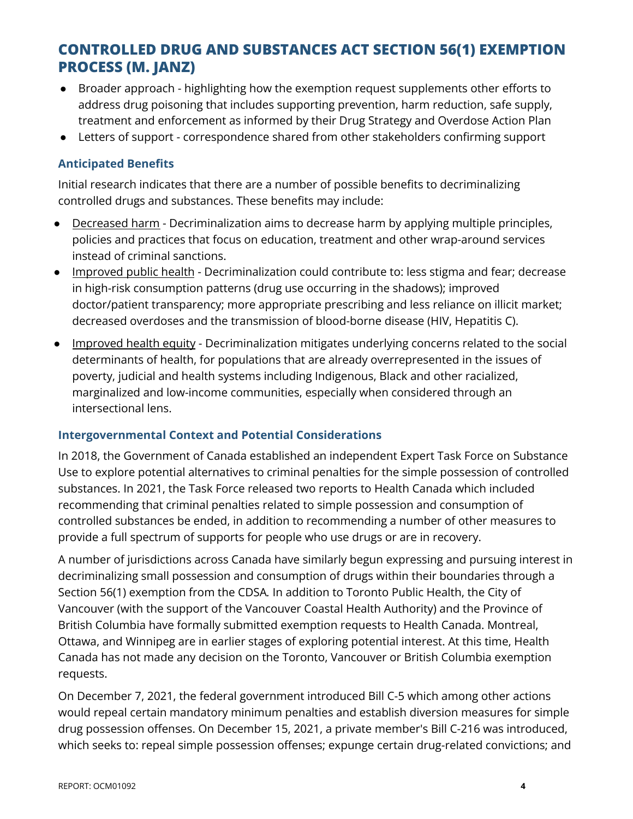- Broader approach highlighting how the exemption request supplements other efforts to address drug poisoning that includes supporting prevention, harm reduction, safe supply, treatment and enforcement as informed by their Drug Strategy and Overdose Action Plan
- Letters of support correspondence shared from other stakeholders confirming support

#### **Anticipated Benefits**

Initial research indicates that there are a number of possible benefits to decriminalizing controlled drugs and substances. These benefits may include:

- Decreased harm Decriminalization aims to decrease harm by applying multiple principles, policies and practices that focus on education, treatment and other wrap-around services instead of criminal sanctions.
- Improved public health Decriminalization could contribute to: less stigma and fear; decrease in high-risk consumption patterns (drug use occurring in the shadows); improved doctor/patient transparency; more appropriate prescribing and less reliance on illicit market; decreased overdoses and the transmission of blood-borne disease (HIV, Hepatitis C).
- Improved health equity Decriminalization mitigates underlying concerns related to the social determinants of health, for populations that are already overrepresented in the issues of poverty, judicial and health systems including Indigenous, Black and other racialized, marginalized and low-income communities, especially when considered through an intersectional lens.

#### **Intergovernmental Context and Potential Considerations**

In 2018, the Government of Canada established an independent Expert Task Force on Substance Use to explore potential alternatives to criminal penalties for the simple possession of controlled substances. In 2021, the Task Force released two reports to Health Canada which included recommending that criminal penalties related to simple possession and consumption of controlled substances be ended, in addition to recommending a number of other measures to provide a full spectrum of supports for people who use drugs or are in recovery.

A number of jurisdictions across Canada have similarly begun expressing and pursuing interest in decriminalizing small possession and consumption of drugs within their boundaries through a Section 56(1) exemption from the CDSA*.* In addition to Toronto Public Health, the City of Vancouver (with the support of the Vancouver Coastal Health Authority) and the Province of British Columbia have formally submitted exemption requests to Health Canada. Montreal, Ottawa, and Winnipeg are in earlier stages of exploring potential interest. At this time, Health Canada has not made any decision on the Toronto, Vancouver or British Columbia exemption requests.

On December 7, 2021, the federal government introduced Bill C-5 which among other actions would repeal certain mandatory minimum penalties and establish diversion measures for simple drug possession offenses. On December 15, 2021, a private member's Bill C-216 was introduced, which seeks to: repeal simple possession offenses; expunge certain drug-related convictions; and